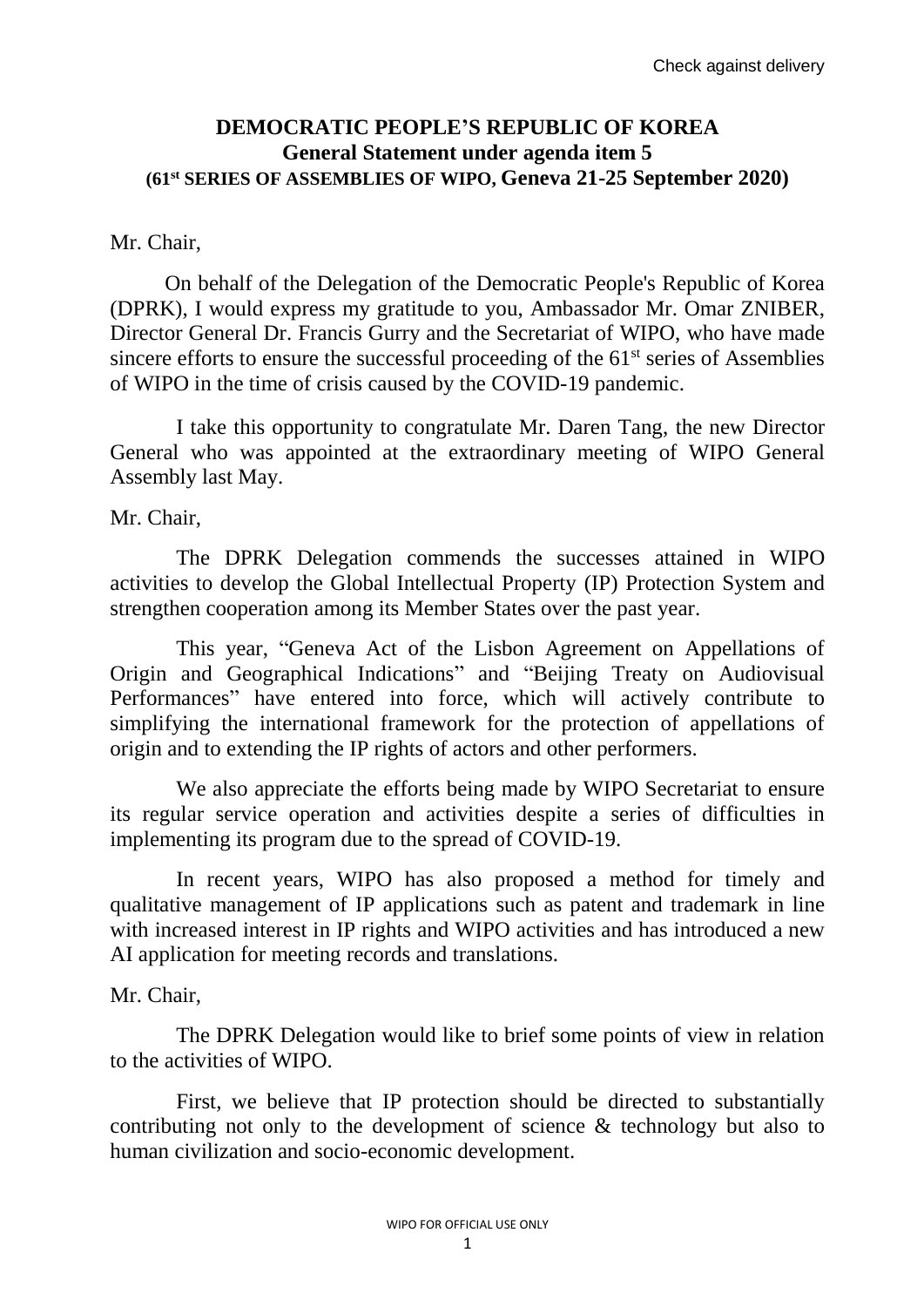## **DEMOCRATIC PEOPLE'S REPUBLIC OF KOREA General Statement under agenda item 5 (61st SERIES OF ASSEMBLIES OF WIPO, Geneva 21-25 September 2020)**

## Mr. Chair,

On behalf of the Delegation of the Democratic People's Republic of Korea (DPRK), I would express my gratitude to you, Ambassador Mr. Omar ZNIBER, Director General Dr. Francis Gurry and the Secretariat of WIPO, who have made sincere efforts to ensure the successful proceeding of the  $61<sup>st</sup>$  series of Assemblies of WIPO in the time of crisis caused by the COVID-19 pandemic.

I take this opportunity to congratulate Mr. Daren Tang, the new Director General who was appointed at the extraordinary meeting of WIPO General Assembly last May.

Mr. Chair,

The DPRK Delegation commends the successes attained in WIPO activities to develop the Global Intellectual Property (IP) Protection System and strengthen cooperation among its Member States over the past year.

This year, "Geneva Act of the Lisbon Agreement on Appellations of Origin and Geographical Indications" and "Beijing Treaty on Audiovisual Performances" have entered into force, which will actively contribute to simplifying the international framework for the protection of appellations of origin and to extending the IP rights of actors and other performers.

We also appreciate the efforts being made by WIPO Secretariat to ensure its regular service operation and activities despite a series of difficulties in implementing its program due to the spread of COVID-19.

In recent years, WIPO has also proposed a method for timely and qualitative management of IP applications such as patent and trademark in line with increased interest in IP rights and WIPO activities and has introduced a new AI application for meeting records and translations.

## Mr. Chair,

The DPRK Delegation would like to brief some points of view in relation to the activities of WIPO.

First, we believe that IP protection should be directed to substantially contributing not only to the development of science & technology but also to human civilization and socio-economic development.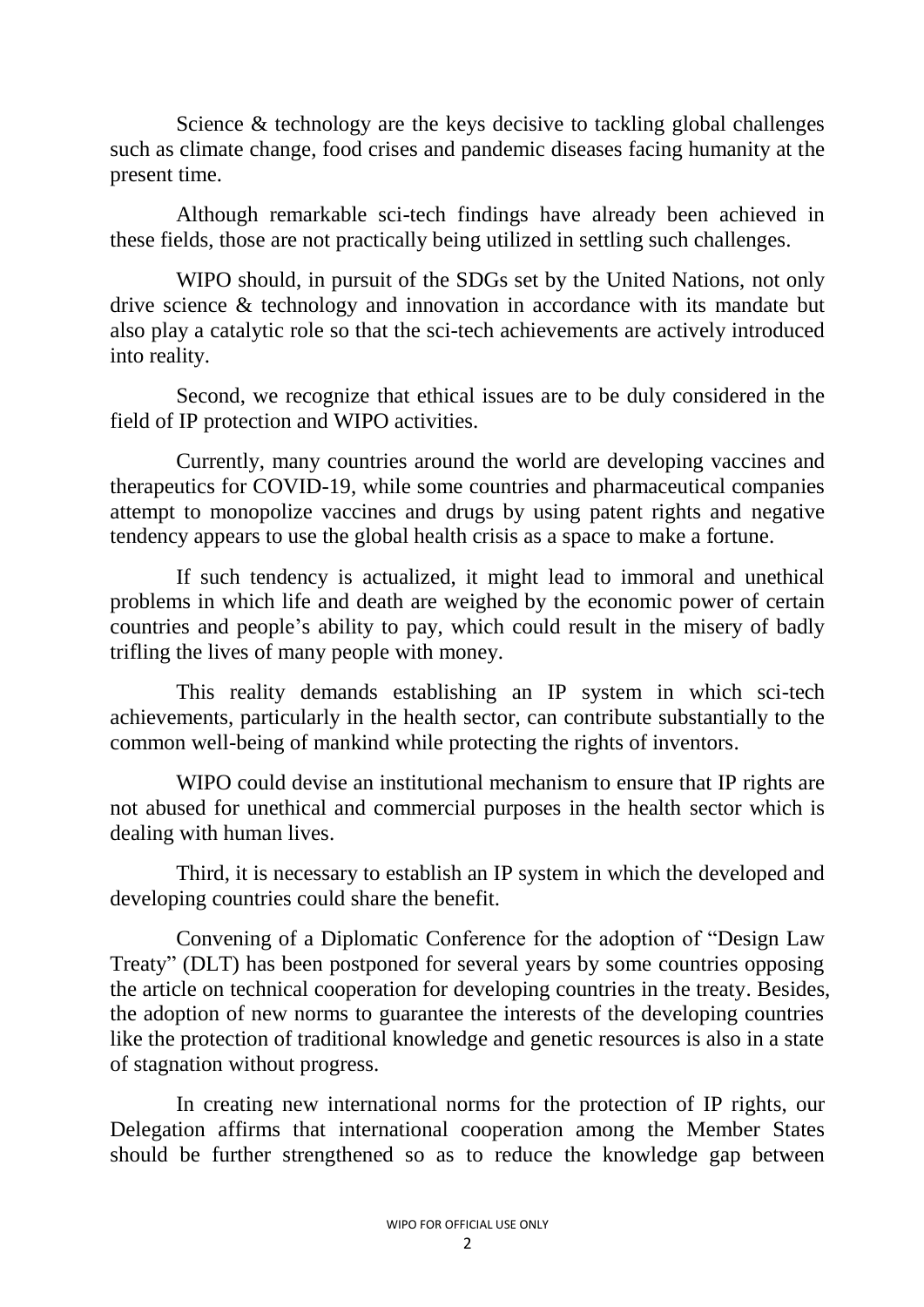Science & technology are the keys decisive to tackling global challenges such as climate change, food crises and pandemic diseases facing humanity at the present time.

Although remarkable sci-tech findings have already been achieved in these fields, those are not practically being utilized in settling such challenges.

WIPO should, in pursuit of the SDGs set by the United Nations, not only drive science & technology and innovation in accordance with its mandate but also play a catalytic role so that the sci-tech achievements are actively introduced into reality.

Second, we recognize that ethical issues are to be duly considered in the field of IP protection and WIPO activities.

Currently, many countries around the world are developing vaccines and therapeutics for COVID-19, while some countries and pharmaceutical companies attempt to monopolize vaccines and drugs by using patent rights and negative tendency appears to use the global health crisis as a space to make a fortune.

If such tendency is actualized, it might lead to immoral and unethical problems in which life and death are weighed by the economic power of certain countries and people's ability to pay, which could result in the misery of badly trifling the lives of many people with money.

This reality demands establishing an IP system in which sci-tech achievements, particularly in the health sector, can contribute substantially to the common well-being of mankind while protecting the rights of inventors.

WIPO could devise an institutional mechanism to ensure that IP rights are not abused for unethical and commercial purposes in the health sector which is dealing with human lives.

Third, it is necessary to establish an IP system in which the developed and developing countries could share the benefit.

Convening of a Diplomatic Conference for the adoption of "Design Law Treaty" (DLT) has been postponed for several years by some countries opposing the article on technical cooperation for developing countries in the treaty. Besides, the adoption of new norms to guarantee the interests of the developing countries like the protection of traditional knowledge and genetic resources is also in a state of stagnation without progress.

In creating new international norms for the protection of IP rights, our Delegation affirms that international cooperation among the Member States should be further strengthened so as to reduce the knowledge gap between